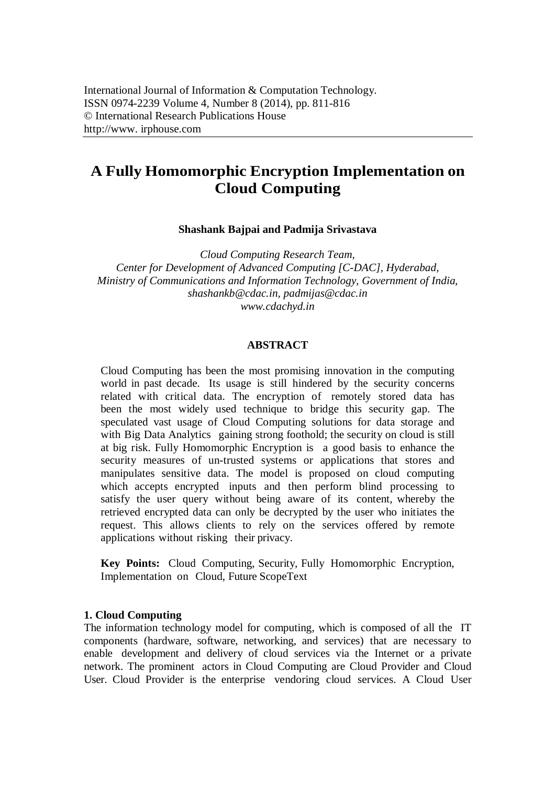# **A Fully Homomorphic Encryption Implementation on Cloud Computing**

**Shashank Bajpai and Padmija Srivastava**

*Cloud Computing Research Team, Center for Development of Advanced Computing [C-DAC], Hyderabad, Ministry of Communications and Information Technology, Government of India, shashankb@cdac.in, padmijas@cdac.in www.cdachyd.in*

## **ABSTRACT**

Cloud Computing has been the most promising innovation in the computing world in past decade. Its usage is still hindered by the security concerns related with critical data. The encryption of remotely stored data has been the most widely used technique to bridge this security gap. The speculated vast usage of Cloud Computing solutions for data storage and with Big Data Analytics gaining strong foothold; the security on cloud is still at big risk. Fully Homomorphic Encryption is a good basis to enhance the security measures of un-trusted systems or applications that stores and manipulates sensitive data. The model is proposed on cloud computing which accepts encrypted inputs and then perform blind processing to satisfy the user query without being aware of its content, whereby the retrieved encrypted data can only be decrypted by the user who initiates the request. This allows clients to rely on the services offered by remote applications without risking their privacy.

**Key Points:** Cloud Computing, Security, Fully Homomorphic Encryption, Implementation on Cloud, Future ScopeText

## **1. Cloud Computing**

The information technology model for computing, which is composed of all the IT components (hardware, software, networking, and services) that are necessary to enable development and delivery of cloud services via the Internet or a private network. The prominent actors in Cloud Computing are Cloud Provider and Cloud User. Cloud Provider is the enterprise vendoring cloud services. A Cloud User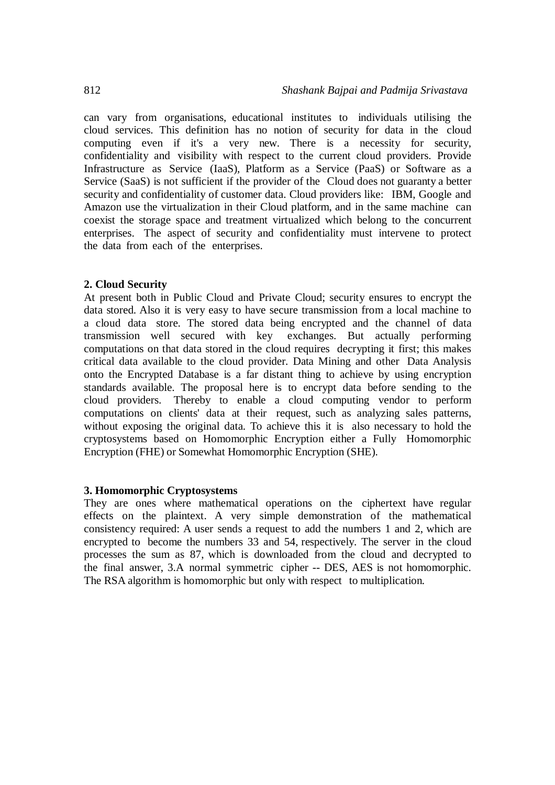can vary from organisations, educational institutes to individuals utilising the cloud services. This definition has no notion of security for data in the cloud computing even if it's a very new. There is a necessity for security, confidentiality and visibility with respect to the current cloud providers. Provide Infrastructure as Service (IaaS), Platform as a Service (PaaS) or Software as a Service (SaaS) is not sufficient if the provider of the Cloud does not guaranty a better security and confidentiality of customer data. Cloud providers like: IBM, Google and Amazon use the virtualization in their Cloud platform, and in the same machine can coexist the storage space and treatment virtualized which belong to the concurrent enterprises. The aspect of security and confidentiality must intervene to protect the data from each of the enterprises.

## **2. Cloud Security**

At present both in Public Cloud and Private Cloud; security ensures to encrypt the data stored. Also it is very easy to have secure transmission from a local machine to a cloud data store. The stored data being encrypted and the channel of data transmission well secured with key exchanges. But actually performing computations on that data stored in the cloud requires decrypting it first; this makes critical data available to the cloud provider. Data Mining and other Data Analysis onto the Encrypted Database is a far distant thing to achieve by using encryption standards available. The proposal here is to encrypt data before sending to the cloud providers. Thereby to enable a cloud computing vendor to perform computations on clients' data at their request, such as analyzing sales patterns, without exposing the original data. To achieve this it is also necessary to hold the cryptosystems based on Homomorphic Encryption either a Fully Homomorphic Encryption (FHE) or Somewhat Homomorphic Encryption (SHE).

### **3. Homomorphic Cryptosystems**

They are ones where mathematical operations on the ciphertext have regular effects on the plaintext. A very simple demonstration of the mathematical consistency required: A user sends a request to add the numbers 1 and 2, which are encrypted to become the numbers 33 and 54, respectively. The server in the cloud processes the sum as 87, which is downloaded from the cloud and decrypted to the final answer, 3.A normal symmetric cipher -- DES, AES is not homomorphic. The RSA algorithm is homomorphic but only with respect to multiplication*.*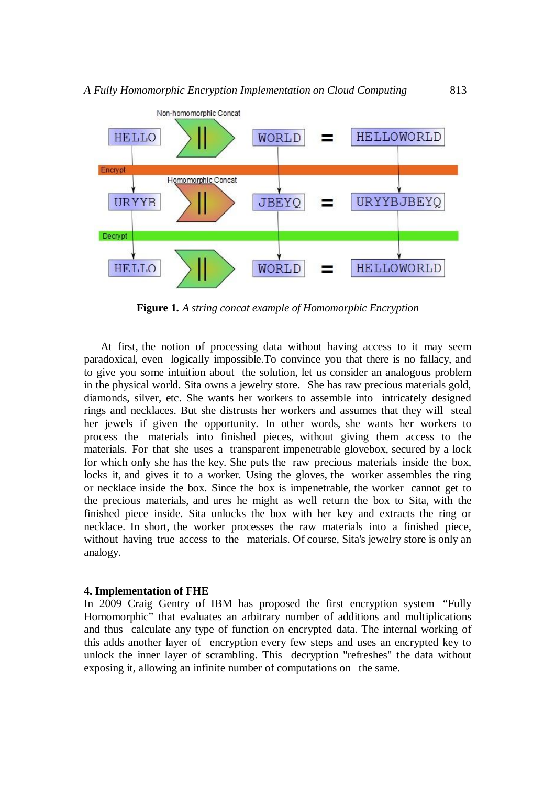

**Figure 1***. A string concat example of Homomorphic Encryption*

At first, the notion of processing data without having access to it may seem paradoxical, even logically impossible.To convince you that there is no fallacy, and to give you some intuition about the solution, let us consider an analogous problem in the physical world. Sita owns a jewelry store. She has raw precious materials gold, diamonds, silver, etc. She wants her workers to assemble into intricately designed rings and necklaces. But she distrusts her workers and assumes that they will steal her jewels if given the opportunity. In other words, she wants her workers to process the materials into finished pieces, without giving them access to the materials. For that she uses a transparent impenetrable glovebox, secured by a lock for which only she has the key. She puts the raw precious materials inside the box, locks it, and gives it to a worker. Using the gloves, the worker assembles the ring or necklace inside the box. Since the box is impenetrable, the worker cannot get to the precious materials, and ures he might as well return the box to Sita, with the finished piece inside. Sita unlocks the box with her key and extracts the ring or necklace. In short, the worker processes the raw materials into a finished piece, without having true access to the materials. Of course, Sita's jewelry store is only an analogy.

#### **4. Implementation of FHE**

In 2009 Craig Gentry of IBM has proposed the first encryption system "Fully Homomorphic" that evaluates an arbitrary number of additions and multiplications and thus calculate any type of function on encrypted data. The internal working of this adds another layer of encryption every few steps and uses an encrypted key to unlock the inner layer of scrambling. This decryption "refreshes" the data without exposing it, allowing an infinite number of computations on the same.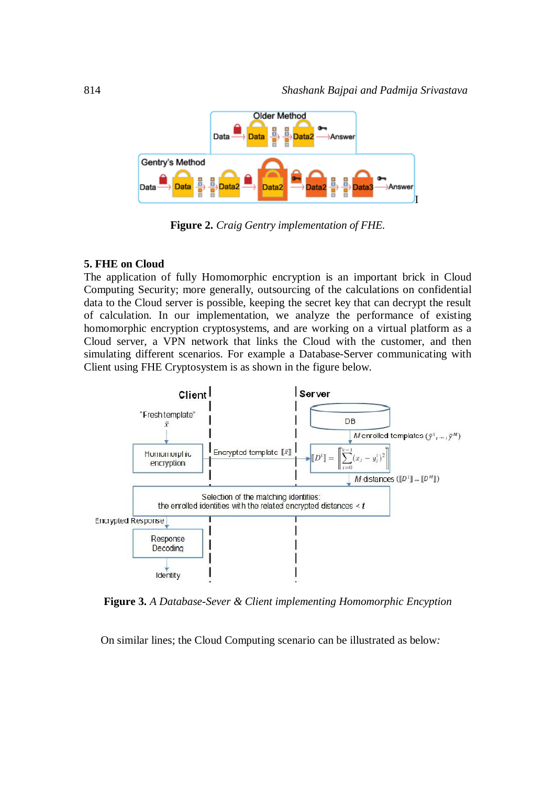

**Figure 2.** *Craig Gentry implementation of FHE.*

## **5. FHE on Cloud**

The application of fully Homomorphic encryption is an important brick in Cloud Computing Security; more generally, outsourcing of the calculations on confidential data to the Cloud server is possible, keeping the secret key that can decrypt the result of calculation. In our implementation, we analyze the performance of existing homomorphic encryption cryptosystems, and are working on a virtual platform as a Cloud server, a VPN network that links the Cloud with the customer, and then simulating different scenarios. For example a Database-Server communicating with Client using FHE Cryptosystem is as shown in the figure below*.*



**Figure 3.** *A Database-Sever & Client implementing Homomorphic Encyption*

On similar lines; the Cloud Computing scenario can be illustrated as below*:*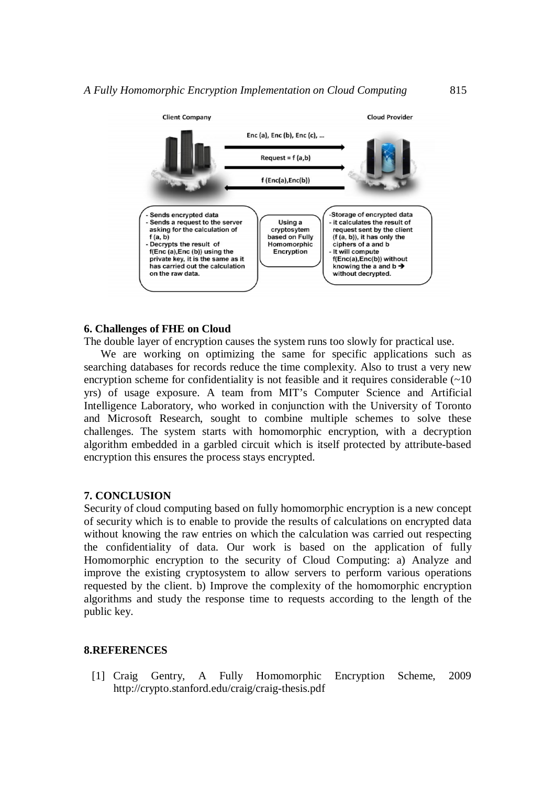

# **6. Challenges of FHE on Cloud**

The double layer of encryption causes the system runs too slowly for practical use.

We are working on optimizing the same for specific applications such as searching databases for records reduce the time complexity. Also to trust a very new encryption scheme for confidentiality is not feasible and it requires considerable  $(\sim 10$ yrs) of usage exposure. A team from MIT's Computer Science and Artificial Intelligence Laboratory, who worked in conjunction with the University of Toronto and Microsoft Research, sought to combine multiple schemes to solve these challenges. The system starts with homomorphic encryption, with a decryption algorithm embedded in a garbled circuit which is itself protected by attribute-based encryption this ensures the process stays encrypted.

## **7. CONCLUSION**

Security of cloud computing based on fully homomorphic encryption is a new concept of security which is to enable to provide the results of calculations on encrypted data without knowing the raw entries on which the calculation was carried out respecting the confidentiality of data. Our work is based on the application of fully Homomorphic encryption to the security of Cloud Computing: a) Analyze and improve the existing cryptosystem to allow servers to perform various operations requested by the client. b) Improve the complexity of the homomorphic encryption algorithms and study the response time to requests according to the length of the public key.

#### **8.REFERENCES**

[1] Craig Gentry, A Fully Homomorphic Encryption Scheme, 2009 http://crypto.stanford.edu/craig/craig-thesis.pdf